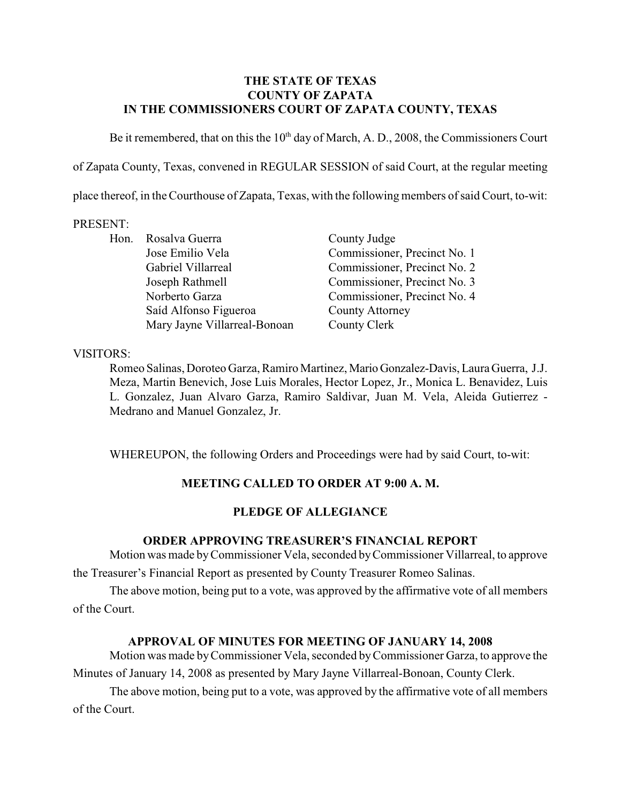#### **THE STATE OF TEXAS COUNTY OF ZAPATA IN THE COMMISSIONERS COURT OF ZAPATA COUNTY, TEXAS**

Be it remembered, that on this the  $10<sup>th</sup>$  day of March, A. D., 2008, the Commissioners Court

of Zapata County, Texas, convened in REGULAR SESSION of said Court, at the regular meeting

place thereof, in the Courthouse of Zapata, Texas, with the following members of said Court, to-wit:

#### PRESENT:

|  | Hon. Rosalva Guerra          | County Judge                 |
|--|------------------------------|------------------------------|
|  | Jose Emilio Vela             | Commissioner, Precinct No. 1 |
|  | Gabriel Villarreal           | Commissioner, Precinct No. 2 |
|  | Joseph Rathmell              | Commissioner, Precinct No. 3 |
|  | Norberto Garza               | Commissioner, Precinct No. 4 |
|  | Saíd Alfonso Figueroa        | <b>County Attorney</b>       |
|  | Mary Jayne Villarreal-Bonoan | County Clerk                 |

#### VISITORS:

Romeo Salinas, Doroteo Garza, Ramiro Martinez, Mario Gonzalez-Davis, Laura Guerra, J.J. Meza, Martin Benevich, Jose Luis Morales, Hector Lopez, Jr., Monica L. Benavidez, Luis L. Gonzalez, Juan Alvaro Garza, Ramiro Saldivar, Juan M. Vela, Aleida Gutierrez - Medrano and Manuel Gonzalez, Jr.

WHEREUPON, the following Orders and Proceedings were had by said Court, to-wit:

# **MEETING CALLED TO ORDER AT 9:00 A. M.**

### **PLEDGE OF ALLEGIANCE**

#### **ORDER APPROVING TREASURER'S FINANCIAL REPORT**

Motion was made byCommissioner Vela, seconded by Commissioner Villarreal, to approve the Treasurer's Financial Report as presented by County Treasurer Romeo Salinas.

The above motion, being put to a vote, was approved by the affirmative vote of all members of the Court.

#### **APPROVAL OF MINUTES FOR MEETING OF JANUARY 14, 2008**

Motion was made by Commissioner Vela, seconded by Commissioner Garza, to approve the Minutes of January 14, 2008 as presented by Mary Jayne Villarreal-Bonoan, County Clerk.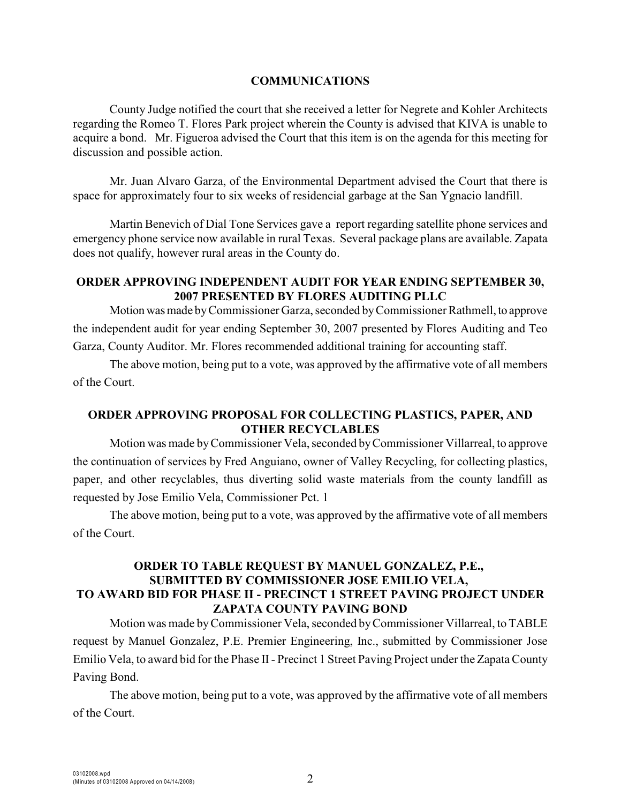#### **COMMUNICATIONS**

County Judge notified the court that she received a letter for Negrete and Kohler Architects regarding the Romeo T. Flores Park project wherein the County is advised that KIVA is unable to acquire a bond. Mr. Figueroa advised the Court that this item is on the agenda for this meeting for discussion and possible action.

Mr. Juan Alvaro Garza, of the Environmental Department advised the Court that there is space for approximately four to six weeks of residencial garbage at the San Ygnacio landfill.

Martin Benevich of Dial Tone Services gave a report regarding satellite phone services and emergency phone service now available in rural Texas. Several package plans are available. Zapata does not qualify, however rural areas in the County do.

#### **ORDER APPROVING INDEPENDENT AUDIT FOR YEAR ENDING SEPTEMBER 30, 2007 PRESENTED BY FLORES AUDITING PLLC**

Motion was made by Commissioner Garza, seconded by Commissioner Rathmell, to approve the independent audit for year ending September 30, 2007 presented by Flores Auditing and Teo Garza, County Auditor. Mr. Flores recommended additional training for accounting staff.

The above motion, being put to a vote, was approved by the affirmative vote of all members of the Court.

# **ORDER APPROVING PROPOSAL FOR COLLECTING PLASTICS, PAPER, AND OTHER RECYCLABLES**

Motion was made by Commissioner Vela, seconded byCommissioner Villarreal, to approve the continuation of services by Fred Anguiano, owner of Valley Recycling, for collecting plastics, paper, and other recyclables, thus diverting solid waste materials from the county landfill as requested by Jose Emilio Vela, Commissioner Pct. 1

The above motion, being put to a vote, was approved by the affirmative vote of all members of the Court.

# **ORDER TO TABLE REQUEST BY MANUEL GONZALEZ, P.E., SUBMITTED BY COMMISSIONER JOSE EMILIO VELA, TO AWARD BID FOR PHASE II - PRECINCT 1 STREET PAVING PROJECT UNDER ZAPATA COUNTY PAVING BOND**

Motion was made by Commissioner Vela, seconded byCommissioner Villarreal, to TABLE request by Manuel Gonzalez, P.E. Premier Engineering, Inc., submitted by Commissioner Jose Emilio Vela, to award bid for the Phase II- Precinct 1 Street Paving Project under the Zapata County Paving Bond.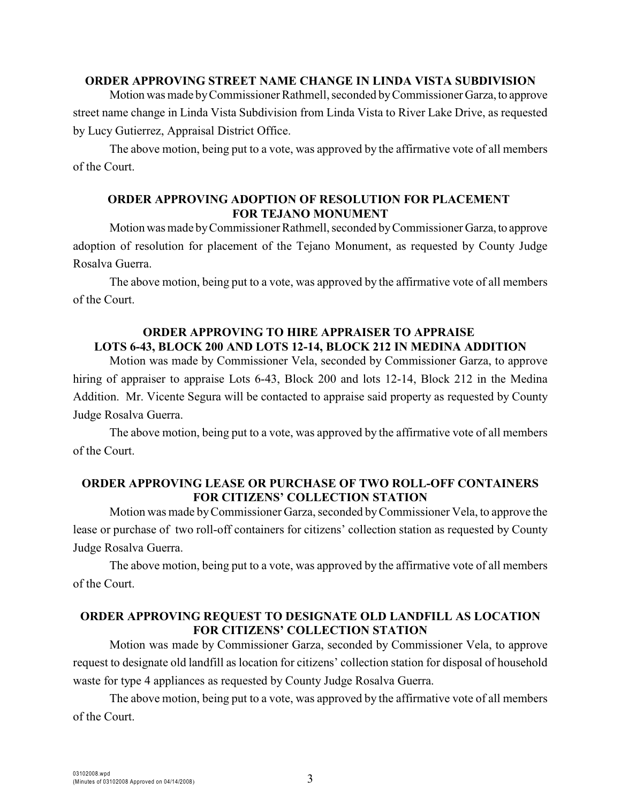#### **ORDER APPROVING STREET NAME CHANGE IN LINDA VISTA SUBDIVISION**

Motion was made by Commissioner Rathmell, seconded by Commissioner Garza, to approve street name change in Linda Vista Subdivision from Linda Vista to River Lake Drive, as requested by Lucy Gutierrez, Appraisal District Office.

The above motion, being put to a vote, was approved by the affirmative vote of all members of the Court.

#### **ORDER APPROVING ADOPTION OF RESOLUTION FOR PLACEMENT FOR TEJANO MONUMENT**

Motion was made by Commissioner Rathmell, seconded by Commissioner Garza, to approve adoption of resolution for placement of the Tejano Monument, as requested by County Judge Rosalva Guerra.

The above motion, being put to a vote, was approved by the affirmative vote of all members of the Court.

### **ORDER APPROVING TO HIRE APPRAISER TO APPRAISE LOTS 6-43, BLOCK 200 AND LOTS 12-14, BLOCK 212 IN MEDINA ADDITION**

Motion was made by Commissioner Vela, seconded by Commissioner Garza, to approve hiring of appraiser to appraise Lots 6-43, Block 200 and lots 12-14, Block 212 in the Medina Addition. Mr. Vicente Segura will be contacted to appraise said property as requested by County Judge Rosalva Guerra.

The above motion, being put to a vote, was approved by the affirmative vote of all members of the Court.

### **ORDER APPROVING LEASE OR PURCHASE OF TWO ROLL-OFF CONTAINERS FOR CITIZENS' COLLECTION STATION**

Motion was made by Commissioner Garza, seconded by Commissioner Vela, to approve the lease or purchase of two roll-off containers for citizens' collection station as requested by County Judge Rosalva Guerra.

The above motion, being put to a vote, was approved by the affirmative vote of all members of the Court.

#### **ORDER APPROVING REQUEST TO DESIGNATE OLD LANDFILL AS LOCATION FOR CITIZENS' COLLECTION STATION**

Motion was made by Commissioner Garza, seconded by Commissioner Vela, to approve request to designate old landfill as location for citizens' collection station for disposal of household waste for type 4 appliances as requested by County Judge Rosalva Guerra.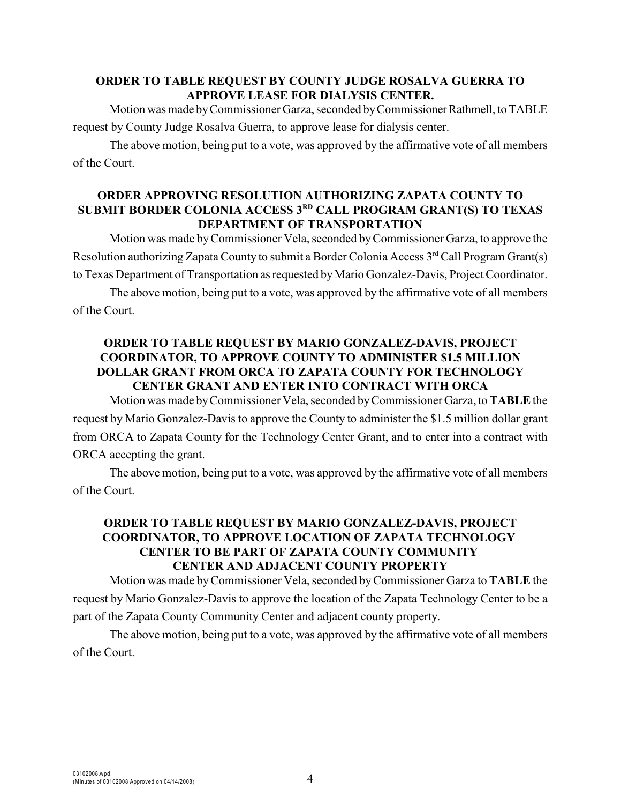### **ORDER TO TABLE REQUEST BY COUNTY JUDGE ROSALVA GUERRA TO APPROVE LEASE FOR DIALYSIS CENTER.**

Motion was made by Commissioner Garza, seconded by Commissioner Rathmell, to TABLE request by County Judge Rosalva Guerra, to approve lease for dialysis center.

The above motion, being put to a vote, was approved by the affirmative vote of all members of the Court.

### **ORDER APPROVING RESOLUTION AUTHORIZING ZAPATA COUNTY TO SUBMIT BORDER COLONIA ACCESS 3<sup>RD</sup> CALL PROGRAM GRANT(S) TO TEXAS DEPARTMENT OF TRANSPORTATION**

Motion was made by Commissioner Vela, seconded by Commissioner Garza, to approve the Resolution authorizing Zapata County to submit a Border Colonia Access  $3<sup>rd</sup>$  Call Program Grant(s) to Texas Department of Transportation as requested by Mario Gonzalez-Davis, Project Coordinator.

The above motion, being put to a vote, was approved by the affirmative vote of all members of the Court.

#### **ORDER TO TABLE REQUEST BY MARIO GONZALEZ-DAVIS, PROJECT COORDINATOR, TO APPROVE COUNTY TO ADMINISTER \$1.5 MILLION DOLLAR GRANT FROM ORCA TO ZAPATA COUNTY FOR TECHNOLOGY CENTER GRANT AND ENTER INTO CONTRACT WITH ORCA**

Motion was made by Commissioner Vela, seconded byCommissioner Garza, to **TABLE** the request by Mario Gonzalez-Davis to approve the County to administer the \$1.5 million dollar grant from ORCA to Zapata County for the Technology Center Grant, and to enter into a contract with ORCA accepting the grant.

The above motion, being put to a vote, was approved by the affirmative vote of all members of the Court.

# **ORDER TO TABLE REQUEST BY MARIO GONZALEZ-DAVIS, PROJECT COORDINATOR, TO APPROVE LOCATION OF ZAPATA TECHNOLOGY CENTER TO BE PART OF ZAPATA COUNTY COMMUNITY CENTER AND ADJACENT COUNTY PROPERTY**

Motion was made byCommissioner Vela, seconded by Commissioner Garza to **TABLE** the request by Mario Gonzalez-Davis to approve the location of the Zapata Technology Center to be a part of the Zapata County Community Center and adjacent county property.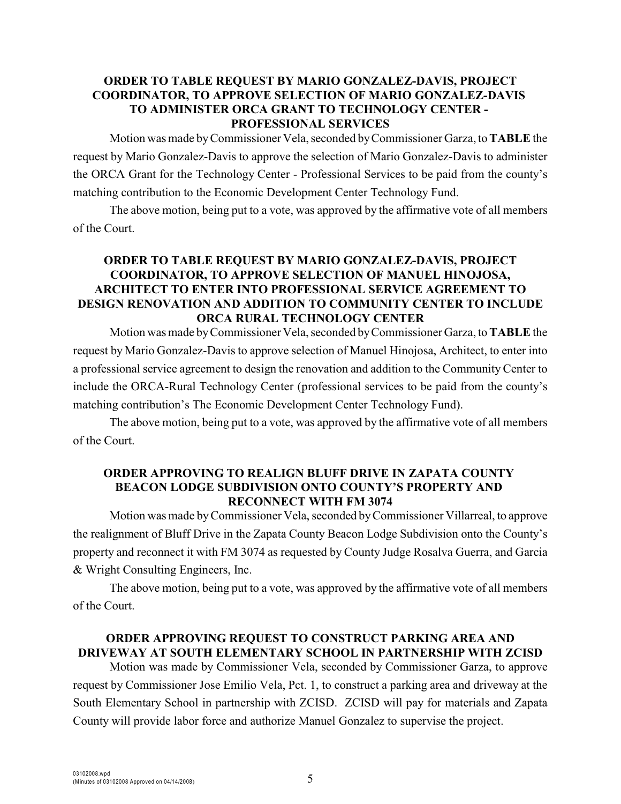### **ORDER TO TABLE REQUEST BY MARIO GONZALEZ-DAVIS, PROJECT COORDINATOR, TO APPROVE SELECTION OF MARIO GONZALEZ-DAVIS TO ADMINISTER ORCA GRANT TO TECHNOLOGY CENTER - PROFESSIONAL SERVICES**

Motion was made byCommissioner Vela, seconded by Commissioner Garza, to **TABLE** the request by Mario Gonzalez-Davis to approve the selection of Mario Gonzalez-Davis to administer the ORCA Grant for the Technology Center - Professional Services to be paid from the county's matching contribution to the Economic Development Center Technology Fund.

The above motion, being put to a vote, was approved by the affirmative vote of all members of the Court.

# **ORDER TO TABLE REQUEST BY MARIO GONZALEZ-DAVIS, PROJECT COORDINATOR, TO APPROVE SELECTION OF MANUEL HINOJOSA, ARCHITECT TO ENTER INTO PROFESSIONAL SERVICE AGREEMENT TO DESIGN RENOVATION AND ADDITION TO COMMUNITY CENTER TO INCLUDE ORCA RURAL TECHNOLOGY CENTER**

Motion was made by Commissioner Vela, seconded by Commissioner Garza, to **TABLE** the request by Mario Gonzalez-Davisto approve selection of Manuel Hinojosa, Architect, to enter into a professional service agreement to design the renovation and addition to the Community Center to include the ORCA-Rural Technology Center (professional services to be paid from the county's matching contribution's The Economic Development Center Technology Fund).

The above motion, being put to a vote, was approved by the affirmative vote of all members of the Court.

#### **ORDER APPROVING TO REALIGN BLUFF DRIVE IN ZAPATA COUNTY BEACON LODGE SUBDIVISION ONTO COUNTY'S PROPERTY AND RECONNECT WITH FM 3074**

Motion was made byCommissioner Vela, seconded by Commissioner Villarreal, to approve the realignment of Bluff Drive in the Zapata County Beacon Lodge Subdivision onto the County's property and reconnect it with FM 3074 as requested by County Judge Rosalva Guerra, and Garcia & Wright Consulting Engineers, Inc.

The above motion, being put to a vote, was approved by the affirmative vote of all members of the Court.

# **ORDER APPROVING REQUEST TO CONSTRUCT PARKING AREA AND DRIVEWAY AT SOUTH ELEMENTARY SCHOOL IN PARTNERSHIP WITH ZCISD**

Motion was made by Commissioner Vela, seconded by Commissioner Garza, to approve request by Commissioner Jose Emilio Vela, Pct. 1, to construct a parking area and driveway at the South Elementary School in partnership with ZCISD. ZCISD will pay for materials and Zapata County will provide labor force and authorize Manuel Gonzalez to supervise the project.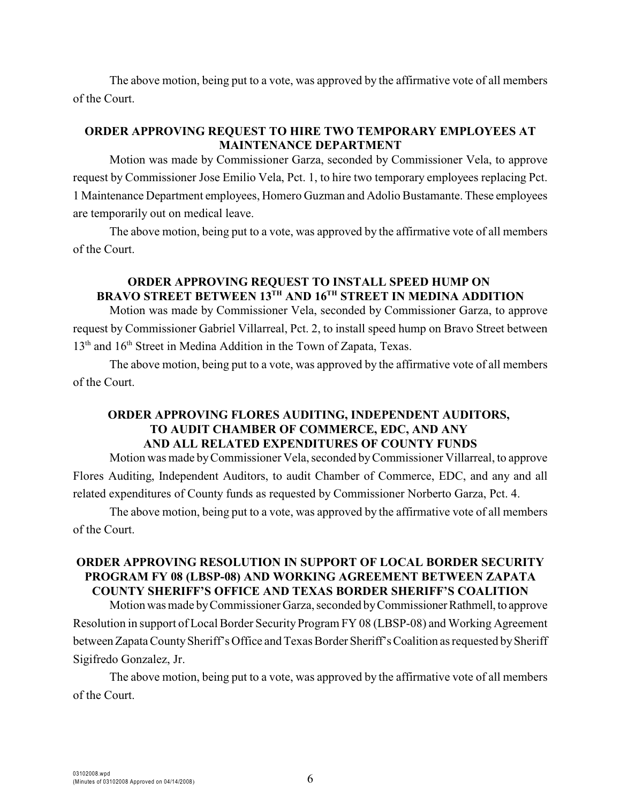The above motion, being put to a vote, was approved by the affirmative vote of all members of the Court.

# **ORDER APPROVING REQUEST TO HIRE TWO TEMPORARY EMPLOYEES AT MAINTENANCE DEPARTMENT**

Motion was made by Commissioner Garza, seconded by Commissioner Vela, to approve request by Commissioner Jose Emilio Vela, Pct. 1, to hire two temporary employees replacing Pct. 1 Maintenance Department employees, Homero Guzman and Adolio Bustamante. These employees are temporarily out on medical leave.

The above motion, being put to a vote, was approved by the affirmative vote of all members of the Court.

### **ORDER APPROVING REQUEST TO INSTALL SPEED HUMP ON BRAVO STREET BETWEEN 13<sup>TH</sup> AND 16<sup>TH</sup> STREET IN MEDINA ADDITION**

Motion was made by Commissioner Vela, seconded by Commissioner Garza, to approve request by Commissioner Gabriel Villarreal, Pct. 2, to install speed hump on Bravo Street between  $13<sup>th</sup>$  and  $16<sup>th</sup>$  Street in Medina Addition in the Town of Zapata, Texas.

The above motion, being put to a vote, was approved by the affirmative vote of all members of the Court.

### **ORDER APPROVING FLORES AUDITING, INDEPENDENT AUDITORS, TO AUDIT CHAMBER OF COMMERCE, EDC, AND ANY AND ALL RELATED EXPENDITURES OF COUNTY FUNDS**

Motion was made byCommissioner Vela, seconded by Commissioner Villarreal, to approve Flores Auditing, Independent Auditors, to audit Chamber of Commerce, EDC, and any and all related expenditures of County funds as requested by Commissioner Norberto Garza, Pct. 4.

The above motion, being put to a vote, was approved by the affirmative vote of all members of the Court.

# **ORDER APPROVING RESOLUTION IN SUPPORT OF LOCAL BORDER SECURITY PROGRAM FY 08 (LBSP-08) AND WORKING AGREEMENT BETWEEN ZAPATA COUNTY SHERIFF'S OFFICE AND TEXAS BORDER SHERIFF'S COALITION**

Motion was made by Commissioner Garza, seconded by Commissioner Rathmell, to approve Resolution in support of Local Border Security Program FY 08 (LBSP-08) and Working Agreement between Zapata County Sheriff's Office and Texas Border Sheriff's Coalition as requested by Sheriff Sigifredo Gonzalez, Jr.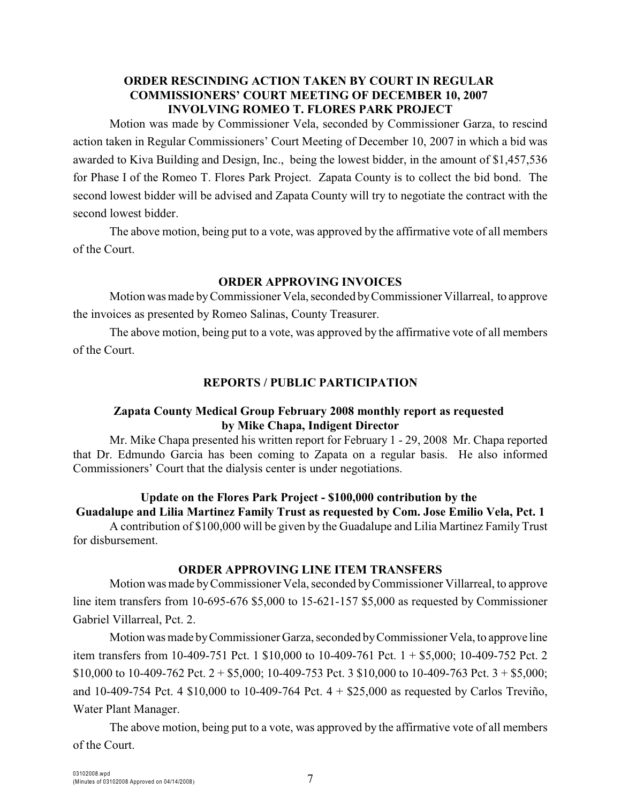### **ORDER RESCINDING ACTION TAKEN BY COURT IN REGULAR COMMISSIONERS' COURT MEETING OF DECEMBER 10, 2007 INVOLVING ROMEO T. FLORES PARK PROJECT**

Motion was made by Commissioner Vela, seconded by Commissioner Garza, to rescind action taken in Regular Commissioners' Court Meeting of December 10, 2007 in which a bid was awarded to Kiva Building and Design, Inc., being the lowest bidder, in the amount of \$1,457,536 for Phase I of the Romeo T. Flores Park Project. Zapata County is to collect the bid bond. The second lowest bidder will be advised and Zapata County will try to negotiate the contract with the second lowest bidder.

The above motion, being put to a vote, was approved by the affirmative vote of all members of the Court.

#### **ORDER APPROVING INVOICES**

Motion was made byCommissioner Vela, seconded by Commissioner Villarreal, to approve the invoices as presented by Romeo Salinas, County Treasurer.

The above motion, being put to a vote, was approved by the affirmative vote of all members of the Court.

### **REPORTS / PUBLIC PARTICIPATION**

### **Zapata County Medical Group February 2008 monthly report as requested by Mike Chapa, Indigent Director**

Mr. Mike Chapa presented his written report for February 1 - 29, 2008 Mr. Chapa reported that Dr. Edmundo Garcia has been coming to Zapata on a regular basis. He also informed Commissioners' Court that the dialysis center is under negotiations.

# **Update on the Flores Park Project - \$100,000 contribution by the Guadalupe and Lilia Martinez Family Trust as requested by Com. Jose Emilio Vela, Pct. 1**

A contribution of \$100,000 will be given by the Guadalupe and Lilia Martinez Family Trust for disbursement.

#### **ORDER APPROVING LINE ITEM TRANSFERS**

Motion was made byCommissioner Vela, seconded by Commissioner Villarreal, to approve line item transfers from 10-695-676 \$5,000 to 15-621-157 \$5,000 as requested by Commissioner Gabriel Villarreal, Pct. 2.

Motion was made by Commissioner Garza, seconded by Commissioner Vela, to approve line item transfers from 10-409-751 Pct. 1 \$10,000 to 10-409-761 Pct. 1 + \$5,000; 10-409-752 Pct. 2 \$10,000 to 10-409-762 Pct.  $2 + $5,000$ ; 10-409-753 Pct. 3 \$10,000 to 10-409-763 Pct.  $3 + $5,000$ ; and 10-409-754 Pct. 4  $$10,000$  to 10-409-764 Pct.  $4 + $25,000$  as requested by Carlos Treviño, Water Plant Manager.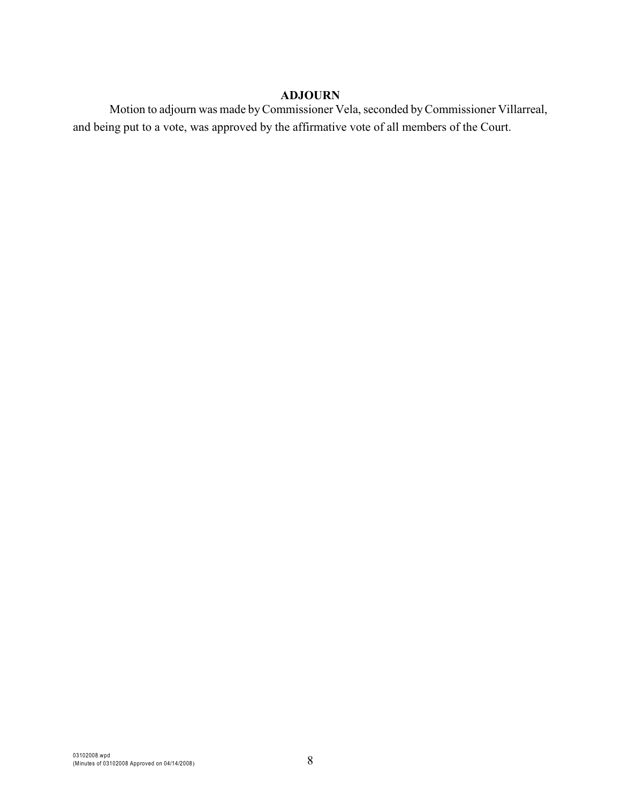#### **ADJOURN**

Motion to adjourn was made by Commissioner Vela, seconded by Commissioner Villarreal, and being put to a vote, was approved by the affirmative vote of all members of the Court.